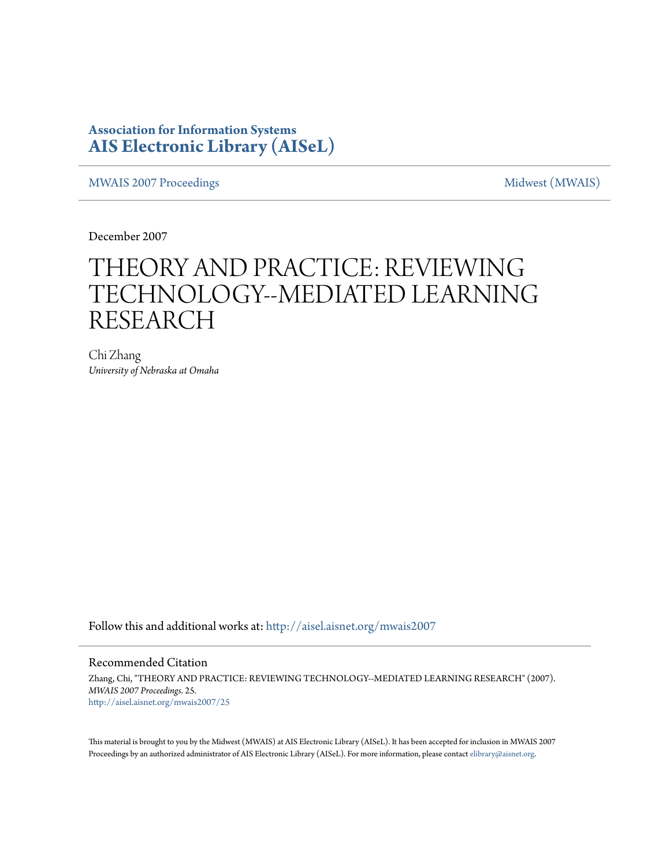## **Association for Information Systems [AIS Electronic Library \(AISeL\)](http://aisel.aisnet.org?utm_source=aisel.aisnet.org%2Fmwais2007%2F25&utm_medium=PDF&utm_campaign=PDFCoverPages)**

[MWAIS 2007 Proceedings](http://aisel.aisnet.org/mwais2007?utm_source=aisel.aisnet.org%2Fmwais2007%2F25&utm_medium=PDF&utm_campaign=PDFCoverPages) and the matrix of the [Midwest \(MWAIS\)](http://aisel.aisnet.org/mwais?utm_source=aisel.aisnet.org%2Fmwais2007%2F25&utm_medium=PDF&utm_campaign=PDFCoverPages)

December 2007

# THEORY AND PRACTICE: REVIEWING TECHNOLOGY--MEDIATED LEARNING RESEARCH

Chi Zhang *University of Nebraska at Omaha*

Follow this and additional works at: [http://aisel.aisnet.org/mwais2007](http://aisel.aisnet.org/mwais2007?utm_source=aisel.aisnet.org%2Fmwais2007%2F25&utm_medium=PDF&utm_campaign=PDFCoverPages)

#### Recommended Citation

Zhang, Chi, "THEORY AND PRACTICE: REVIEWING TECHNOLOGY--MEDIATED LEARNING RESEARCH" (2007). *MWAIS 2007 Proceedings*. 25. [http://aisel.aisnet.org/mwais2007/25](http://aisel.aisnet.org/mwais2007/25?utm_source=aisel.aisnet.org%2Fmwais2007%2F25&utm_medium=PDF&utm_campaign=PDFCoverPages)

This material is brought to you by the Midwest (MWAIS) at AIS Electronic Library (AISeL). It has been accepted for inclusion in MWAIS 2007 Proceedings by an authorized administrator of AIS Electronic Library (AISeL). For more information, please contact [elibrary@aisnet.org](mailto:elibrary@aisnet.org%3E).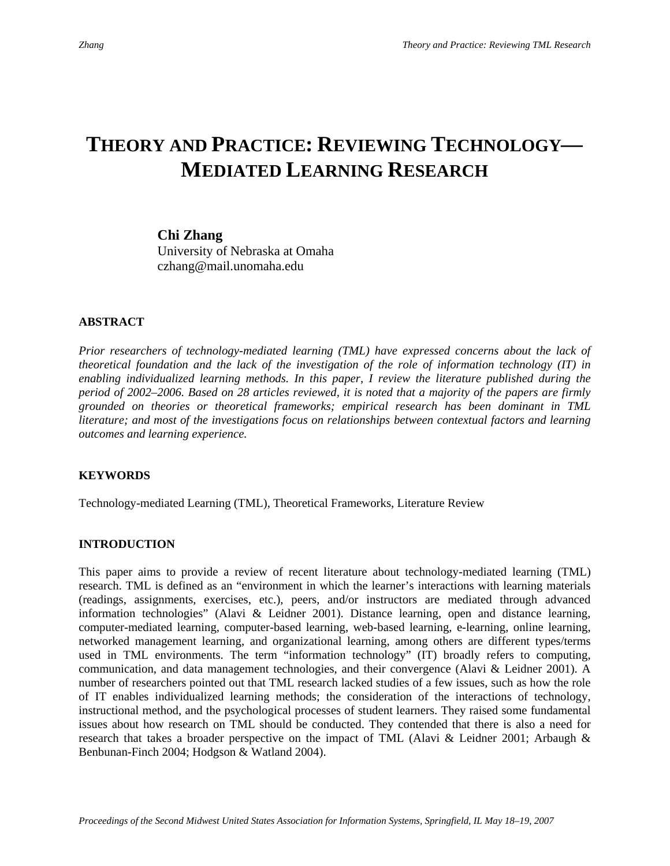## **THEORY AND PRACTICE: REVIEWING TECHNOLOGY— MEDIATED LEARNING RESEARCH**

### **Chi Zhang**

University of Nebraska at Omaha czhang@mail.unomaha.edu

## **ABSTRACT**

*Prior researchers of technology-mediated learning (TML) have expressed concerns about the lack of theoretical foundation and the lack of the investigation of the role of information technology (IT) in enabling individualized learning methods. In this paper, I review the literature published during the period of 2002–2006. Based on 28 articles reviewed, it is noted that a majority of the papers are firmly grounded on theories or theoretical frameworks; empirical research has been dominant in TML literature; and most of the investigations focus on relationships between contextual factors and learning outcomes and learning experience.* 

## **KEYWORDS**

Technology-mediated Learning (TML), Theoretical Frameworks, Literature Review

## **INTRODUCTION**

This paper aims to provide a review of recent literature about technology-mediated learning (TML) research. TML is defined as an "environment in which the learner's interactions with learning materials (readings, assignments, exercises, etc.), peers, and/or instructors are mediated through advanced information technologies" (Alavi & Leidner 2001). Distance learning, open and distance learning, computer-mediated learning, computer-based learning, web-based learning, e-learning, online learning, networked management learning, and organizational learning, among others are different types/terms used in TML environments. The term "information technology" (IT) broadly refers to computing, communication, and data management technologies, and their convergence (Alavi & Leidner 2001). A number of researchers pointed out that TML research lacked studies of a few issues, such as how the role of IT enables individualized learning methods; the consideration of the interactions of technology, instructional method, and the psychological processes of student learners. They raised some fundamental issues about how research on TML should be conducted. They contended that there is also a need for research that takes a broader perspective on the impact of TML (Alavi & Leidner 2001; Arbaugh & Benbunan-Finch 2004; Hodgson & Watland 2004).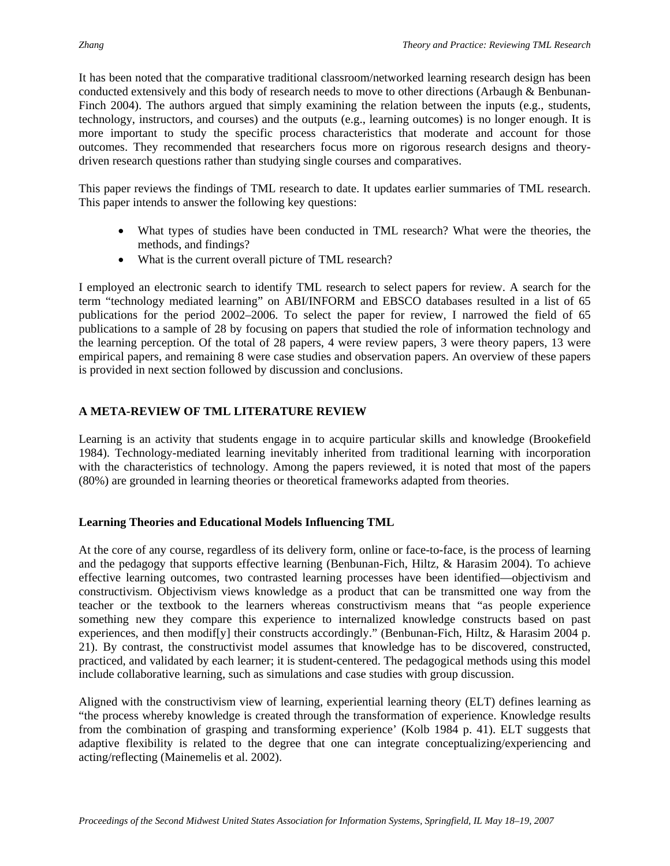It has been noted that the comparative traditional classroom/networked learning research design has been conducted extensively and this body of research needs to move to other directions (Arbaugh & Benbunan-Finch 2004). The authors argued that simply examining the relation between the inputs (e.g., students, technology, instructors, and courses) and the outputs (e.g., learning outcomes) is no longer enough. It is more important to study the specific process characteristics that moderate and account for those outcomes. They recommended that researchers focus more on rigorous research designs and theorydriven research questions rather than studying single courses and comparatives.

This paper reviews the findings of TML research to date. It updates earlier summaries of TML research. This paper intends to answer the following key questions:

- What types of studies have been conducted in TML research? What were the theories, the methods, and findings?
- What is the current overall picture of TML research?

I employed an electronic search to identify TML research to select papers for review. A search for the term "technology mediated learning" on ABI/INFORM and EBSCO databases resulted in a list of 65 publications for the period 2002–2006. To select the paper for review, I narrowed the field of 65 publications to a sample of 28 by focusing on papers that studied the role of information technology and the learning perception. Of the total of 28 papers, 4 were review papers, 3 were theory papers, 13 were empirical papers, and remaining 8 were case studies and observation papers. An overview of these papers is provided in next section followed by discussion and conclusions.

## **A META-REVIEW OF TML LITERATURE REVIEW**

Learning is an activity that students engage in to acquire particular skills and knowledge (Brookefield 1984). Technology-mediated learning inevitably inherited from traditional learning with incorporation with the characteristics of technology. Among the papers reviewed, it is noted that most of the papers (80%) are grounded in learning theories or theoretical frameworks adapted from theories.

## **Learning Theories and Educational Models Influencing TML**

At the core of any course, regardless of its delivery form, online or face-to-face, is the process of learning and the pedagogy that supports effective learning (Benbunan-Fich, Hiltz, & Harasim 2004). To achieve effective learning outcomes, two contrasted learning processes have been identified—objectivism and constructivism. Objectivism views knowledge as a product that can be transmitted one way from the teacher or the textbook to the learners whereas constructivism means that "as people experience something new they compare this experience to internalized knowledge constructs based on past experiences, and then modif[y] their constructs accordingly." (Benbunan-Fich, Hiltz, & Harasim 2004 p. 21). By contrast, the constructivist model assumes that knowledge has to be discovered, constructed, practiced, and validated by each learner; it is student-centered. The pedagogical methods using this model include collaborative learning, such as simulations and case studies with group discussion.

Aligned with the constructivism view of learning, experiential learning theory (ELT) defines learning as "the process whereby knowledge is created through the transformation of experience. Knowledge results from the combination of grasping and transforming experience' (Kolb 1984 p. 41). ELT suggests that adaptive flexibility is related to the degree that one can integrate conceptualizing/experiencing and acting/reflecting (Mainemelis et al. 2002).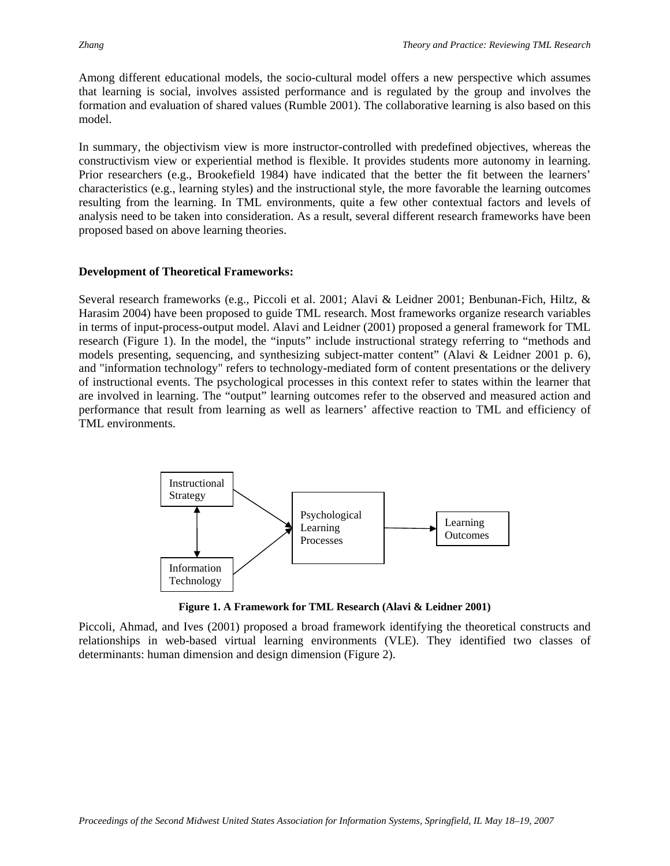Among different educational models, the socio-cultural model offers a new perspective which assumes that learning is social, involves assisted performance and is regulated by the group and involves the formation and evaluation of shared values (Rumble 2001). The collaborative learning is also based on this model.

In summary, the objectivism view is more instructor-controlled with predefined objectives, whereas the constructivism view or experiential method is flexible. It provides students more autonomy in learning. Prior researchers (e.g., Brookefield 1984) have indicated that the better the fit between the learners' characteristics (e.g., learning styles) and the instructional style, the more favorable the learning outcomes resulting from the learning. In TML environments, quite a few other contextual factors and levels of analysis need to be taken into consideration. As a result, several different research frameworks have been proposed based on above learning theories.

#### **Development of Theoretical Frameworks:**

Several research frameworks (e.g., Piccoli et al. 2001; Alavi & Leidner 2001; Benbunan-Fich, Hiltz, & Harasim 2004) have been proposed to guide TML research. Most frameworks organize research variables in terms of input-process-output model. Alavi and Leidner (2001) proposed a general framework for TML research (Figure 1). In the model, the "inputs" include instructional strategy referring to "methods and models presenting, sequencing, and synthesizing subject-matter content" (Alavi & Leidner 2001 p. 6), and "information technology" refers to technology-mediated form of content presentations or the delivery of instructional events. The psychological processes in this context refer to states within the learner that are involved in learning. The "output" learning outcomes refer to the observed and measured action and performance that result from learning as well as learners' affective reaction to TML and efficiency of TML environments.



**Figure 1. A Framework for TML Research (Alavi & Leidner 2001)** 

Piccoli, Ahmad, and Ives (2001) proposed a broad framework identifying the theoretical constructs and relationships in web-based virtual learning environments (VLE). They identified two classes of determinants: human dimension and design dimension (Figure 2).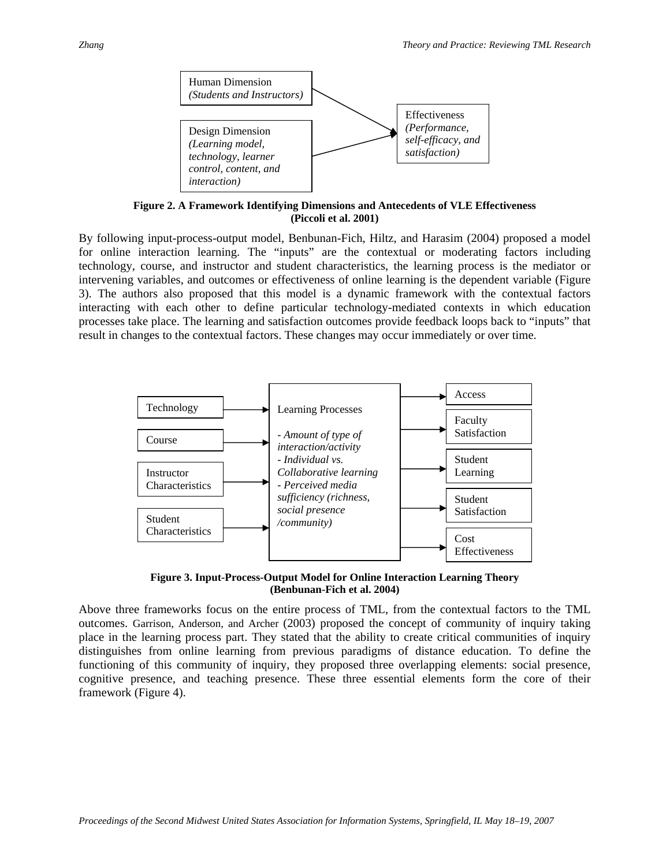

**Figure 2. A Framework Identifying Dimensions and Antecedents of VLE Effectiveness (Piccoli et al. 2001)** 

By following input-process-output model, Benbunan-Fich, Hiltz, and Harasim (2004) proposed a model for online interaction learning. The "inputs" are the contextual or moderating factors including technology, course, and instructor and student characteristics, the learning process is the mediator or intervening variables, and outcomes or effectiveness of online learning is the dependent variable (Figure 3). The authors also proposed that this model is a dynamic framework with the contextual factors interacting with each other to define particular technology-mediated contexts in which education processes take place. The learning and satisfaction outcomes provide feedback loops back to "inputs" that result in changes to the contextual factors. These changes may occur immediately or over time.



**Figure 3. Input-Process-Output Model for Online Interaction Learning Theory (Benbunan-Fich et al. 2004)** 

Above three frameworks focus on the entire process of TML, from the contextual factors to the TML outcomes. Garrison, Anderson, and Archer (2003) proposed the concept of community of inquiry taking place in the learning process part. They stated that the ability to create critical communities of inquiry distinguishes from online learning from previous paradigms of distance education. To define the functioning of this community of inquiry, they proposed three overlapping elements: social presence, cognitive presence, and teaching presence. These three essential elements form the core of their framework (Figure 4).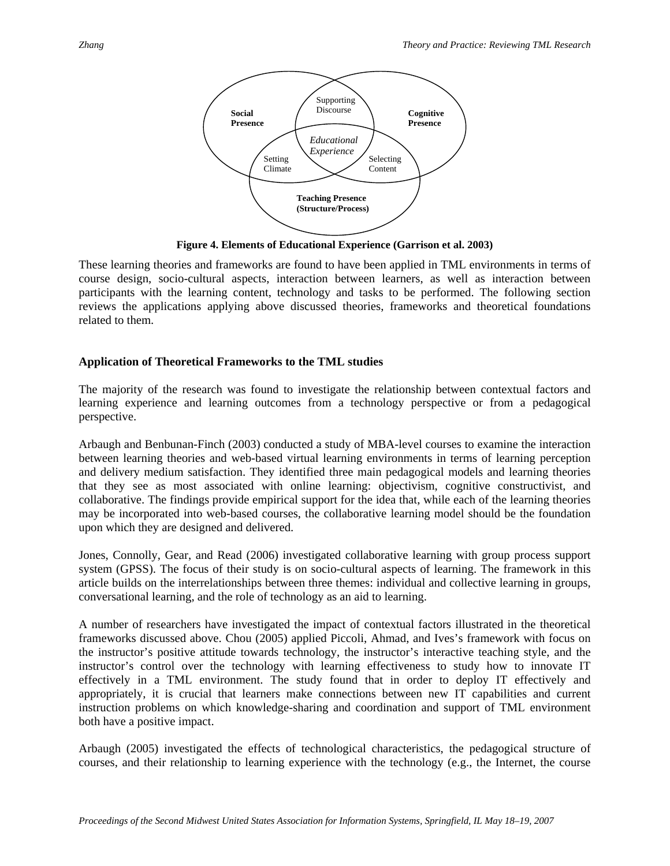

**Figure 4. Elements of Educational Experience (Garrison et al. 2003)** 

These learning theories and frameworks are found to have been applied in TML environments in terms of course design, socio-cultural aspects, interaction between learners, as well as interaction between participants with the learning content, technology and tasks to be performed. The following section reviews the applications applying above discussed theories, frameworks and theoretical foundations related to them.

#### **Application of Theoretical Frameworks to the TML studies**

The majority of the research was found to investigate the relationship between contextual factors and learning experience and learning outcomes from a technology perspective or from a pedagogical perspective.

Arbaugh and Benbunan-Finch (2003) conducted a study of MBA-level courses to examine the interaction between learning theories and web-based virtual learning environments in terms of learning perception and delivery medium satisfaction. They identified three main pedagogical models and learning theories that they see as most associated with online learning: objectivism, cognitive constructivist, and collaborative. The findings provide empirical support for the idea that, while each of the learning theories may be incorporated into web-based courses, the collaborative learning model should be the foundation upon which they are designed and delivered.

Jones, Connolly, Gear, and Read (2006) investigated collaborative learning with group process support system (GPSS). The focus of their study is on socio-cultural aspects of learning. The framework in this article builds on the interrelationships between three themes: individual and collective learning in groups, conversational learning, and the role of technology as an aid to learning.

A number of researchers have investigated the impact of contextual factors illustrated in the theoretical frameworks discussed above. Chou (2005) applied Piccoli, Ahmad, and Ives's framework with focus on the instructor's positive attitude towards technology, the instructor's interactive teaching style, and the instructor's control over the technology with learning effectiveness to study how to innovate IT effectively in a TML environment. The study found that in order to deploy IT effectively and appropriately, it is crucial that learners make connections between new IT capabilities and current instruction problems on which knowledge-sharing and coordination and support of TML environment both have a positive impact.

Arbaugh (2005) investigated the effects of technological characteristics, the pedagogical structure of courses, and their relationship to learning experience with the technology (e.g., the Internet, the course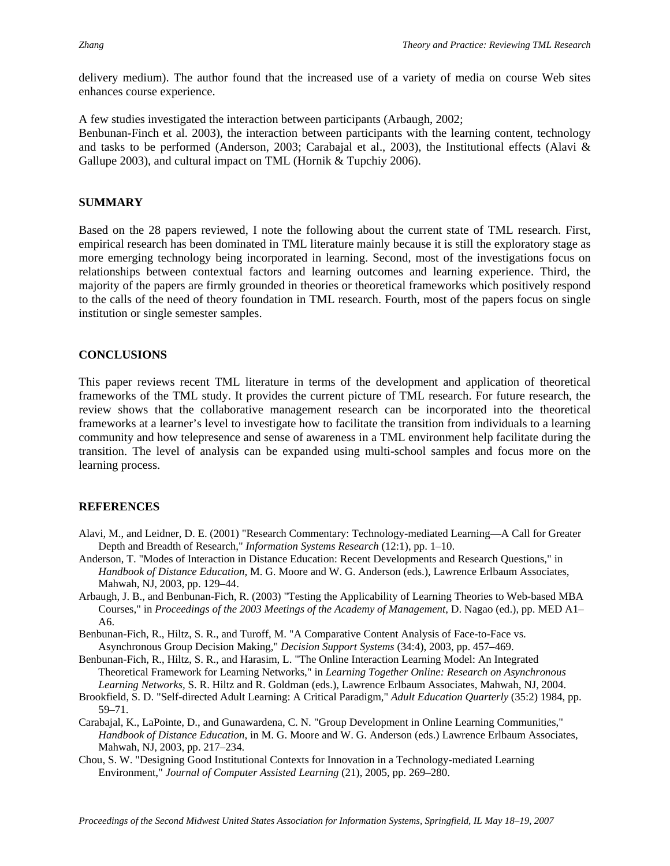delivery medium). The author found that the increased use of a variety of media on course Web sites enhances course experience.

A few studies investigated the interaction between participants (Arbaugh, 2002;

Benbunan-Finch et al. 2003), the interaction between participants with the learning content, technology and tasks to be performed (Anderson, 2003; Carabajal et al., 2003), the Institutional effects (Alavi & Gallupe 2003), and cultural impact on TML (Hornik & Tupchiy 2006).

#### **SUMMARY**

Based on the 28 papers reviewed, I note the following about the current state of TML research. First, empirical research has been dominated in TML literature mainly because it is still the exploratory stage as more emerging technology being incorporated in learning. Second, most of the investigations focus on relationships between contextual factors and learning outcomes and learning experience. Third, the majority of the papers are firmly grounded in theories or theoretical frameworks which positively respond to the calls of the need of theory foundation in TML research. Fourth, most of the papers focus on single institution or single semester samples.

### **CONCLUSIONS**

This paper reviews recent TML literature in terms of the development and application of theoretical frameworks of the TML study. It provides the current picture of TML research. For future research, the review shows that the collaborative management research can be incorporated into the theoretical frameworks at a learner's level to investigate how to facilitate the transition from individuals to a learning community and how telepresence and sense of awareness in a TML environment help facilitate during the transition. The level of analysis can be expanded using multi-school samples and focus more on the learning process.

#### **REFERENCES**

- Alavi, M., and Leidner, D. E. (2001) "Research Commentary: Technology-mediated Learning—A Call for Greater Depth and Breadth of Research," *Information Systems Research* (12:1), pp. 1–10.
- Anderson, T. "Modes of Interaction in Distance Education: Recent Developments and Research Questions," in *Handbook of Distance Education*, M. G. Moore and W. G. Anderson (eds.), Lawrence Erlbaum Associates, Mahwah, NJ, 2003, pp. 129–44.
- Arbaugh, J. B., and Benbunan-Fich, R. (2003) "Testing the Applicability of Learning Theories to Web-based MBA Courses," in *Proceedings of the 2003 Meetings of the Academy of Management*, D. Nagao (ed.), pp. MED A1– A6.
- Benbunan-Fich, R., Hiltz, S. R., and Turoff, M. "A Comparative Content Analysis of Face-to-Face vs. Asynchronous Group Decision Making," *Decision Support Systems* (34:4), 2003, pp. 457–469.
- Benbunan-Fich, R., Hiltz, S. R., and Harasim, L. "The Online Interaction Learning Model: An Integrated Theoretical Framework for Learning Networks," in *Learning Together Online: Research on Asynchronous Learning Networks,* S. R. Hiltz and R. Goldman (eds.), Lawrence Erlbaum Associates, Mahwah, NJ, 2004.
- Brookfield, S. D. "Self-directed Adult Learning: A Critical Paradigm," *Adult Education Quarterly* (35:2) 1984, pp. 59–71.
- Carabajal, K., LaPointe, D., and Gunawardena, C. N. "Group Development in Online Learning Communities," *Handbook of Distance Education*, in M. G. Moore and W. G. Anderson (eds.) Lawrence Erlbaum Associates, Mahwah, NJ, 2003, pp. 217–234.
- Chou, S. W. "Designing Good Institutional Contexts for Innovation in a Technology-mediated Learning Environment," *Journal of Computer Assisted Learning* (21), 2005, pp. 269–280.